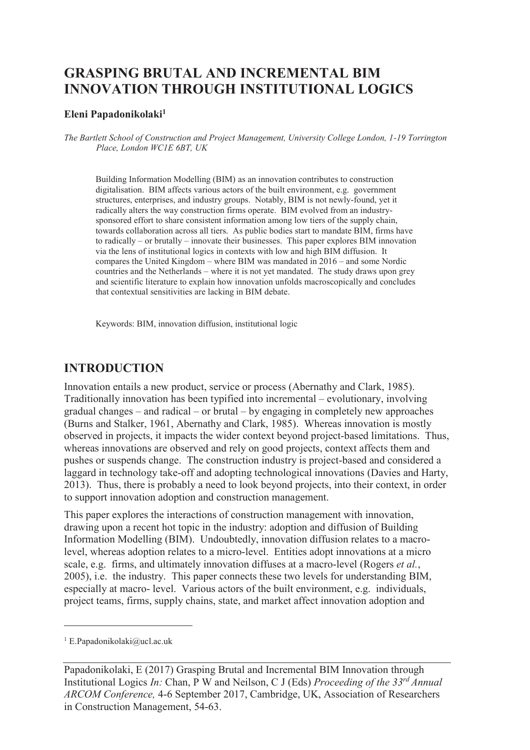# **GRASPING BRUTAL AND INCREMENTAL BIM INNOVATION THROUGH INSTITUTIONAL LOGICS**

#### **Eleni Papadonikolaki<sup>1</sup>**

*The Bartlett School of Construction and Project Management, University College London, 1-19 Torrington Place, London WC1E 6BT, UK* 

Building Information Modelling (BIM) as an innovation contributes to construction digitalisation. BIM affects various actors of the built environment, e.g. government structures, enterprises, and industry groups. Notably, BIM is not newly-found, yet it radically alters the way construction firms operate. BIM evolved from an industrysponsored effort to share consistent information among low tiers of the supply chain, towards collaboration across all tiers. As public bodies start to mandate BIM, firms have to radically – or brutally – innovate their businesses. This paper explores BIM innovation via the lens of institutional logics in contexts with low and high BIM diffusion. It compares the United Kingdom – where BIM was mandated in 2016 – and some Nordic countries and the Netherlands – where it is not yet mandated. The study draws upon grey and scientific literature to explain how innovation unfolds macroscopically and concludes that contextual sensitivities are lacking in BIM debate.

Keywords: BIM, innovation diffusion, institutional logic

### **INTRODUCTION**

Innovation entails a new product, service or process (Abernathy and Clark, 1985). Traditionally innovation has been typified into incremental – evolutionary, involving gradual changes – and radical – or brutal – by engaging in completely new approaches (Burns and Stalker, 1961, Abernathy and Clark, 1985). Whereas innovation is mostly observed in projects, it impacts the wider context beyond project-based limitations. Thus, whereas innovations are observed and rely on good projects, context affects them and pushes or suspends change. The construction industry is project-based and considered a laggard in technology take-off and adopting technological innovations (Davies and Harty, 2013). Thus, there is probably a need to look beyond projects, into their context, in order to support innovation adoption and construction management.

This paper explores the interactions of construction management with innovation, drawing upon a recent hot topic in the industry: adoption and diffusion of Building Information Modelling (BIM). Undoubtedly, innovation diffusion relates to a macrolevel, whereas adoption relates to a micro-level. Entities adopt innovations at a micro scale, e.g. firms, and ultimately innovation diffuses at a macro-level (Rogers *et al.*, 2005), i.e. the industry. This paper connects these two levels for understanding BIM, especially at macro- level. Various actors of the built environment, e.g. individuals, project teams, firms, supply chains, state, and market affect innovation adoption and

-

<sup>1</sup> E.Papadonikolaki@ucl.ac.uk

Papadonikolaki, E (2017) Grasping Brutal and Incremental BIM Innovation through Institutional Logics *In:* Chan, P W and Neilson, C J (Eds) *Proceeding of the 33rd Annual ARCOM Conference,* 4-6 September 2017, Cambridge, UK, Association of Researchers in Construction Management, 54-63.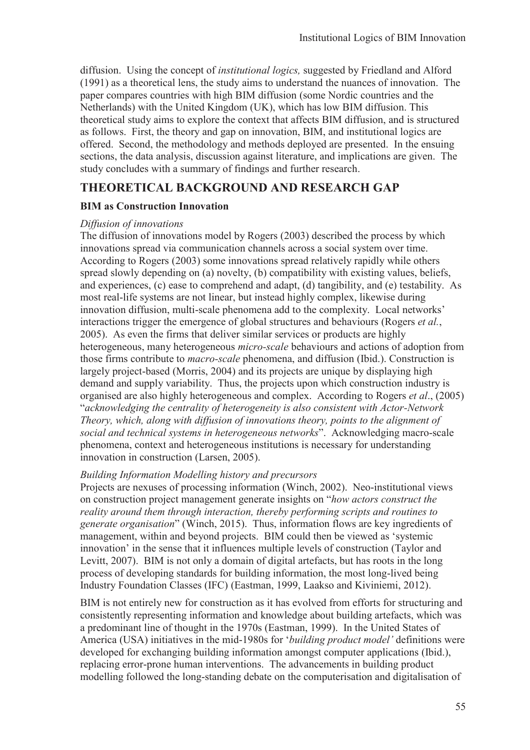diffusion. Using the concept of *institutional logics,* suggested by Friedland and Alford (1991) as a theoretical lens, the study aims to understand the nuances of innovation. The paper compares countries with high BIM diffusion (some Nordic countries and the Netherlands) with the United Kingdom (UK), which has low BIM diffusion. This theoretical study aims to explore the context that affects BIM diffusion, and is structured as follows. First, the theory and gap on innovation, BIM, and institutional logics are offered. Second, the methodology and methods deployed are presented. In the ensuing sections, the data analysis, discussion against literature, and implications are given. The study concludes with a summary of findings and further research.

## **THEORETICAL BACKGROUND AND RESEARCH GAP**

### **BIM as Construction Innovation**

#### *Diffusion of innovations*

The diffusion of innovations model by Rogers (2003) described the process by which innovations spread via communication channels across a social system over time. According to Rogers (2003) some innovations spread relatively rapidly while others spread slowly depending on (a) novelty, (b) compatibility with existing values, beliefs, and experiences, (c) ease to comprehend and adapt, (d) tangibility, and (e) testability. As most real-life systems are not linear, but instead highly complex, likewise during innovation diffusion, multi-scale phenomena add to the complexity. Local networks' interactions trigger the emergence of global structures and behaviours (Rogers *et al.*, 2005). As even the firms that deliver similar services or products are highly heterogeneous, many heterogeneous *micro-scale* behaviours and actions of adoption from those firms contribute to *macro-scale* phenomena, and diffusion (Ibid.). Construction is largely project-based (Morris, 2004) and its projects are unique by displaying high demand and supply variability. Thus, the projects upon which construction industry is organised are also highly heterogeneous and complex. According to Rogers *et al*., (2005) "*acknowledging the centrality of heterogeneity is also consistent with Actor-Network Theory, which, along with diffusion of innovations theory, points to the alignment of social and technical systems in heterogeneous networks*". Acknowledging macro-scale phenomena, context and heterogeneous institutions is necessary for understanding innovation in construction (Larsen, 2005).

#### *Building Information Modelling history and precursors*

Projects are nexuses of processing information (Winch, 2002). Neo-institutional views on construction project management generate insights on "*how actors construct the reality around them through interaction, thereby performing scripts and routines to generate organisation*" (Winch, 2015). Thus, information flows are key ingredients of management, within and beyond projects. BIM could then be viewed as 'systemic innovation' in the sense that it influences multiple levels of construction (Taylor and Levitt, 2007). BIM is not only a domain of digital artefacts, but has roots in the long process of developing standards for building information, the most long-lived being Industry Foundation Classes (IFC) (Eastman, 1999, Laakso and Kiviniemi, 2012).

BIM is not entirely new for construction as it has evolved from efforts for structuring and consistently representing information and knowledge about building artefacts, which was a predominant line of thought in the 1970s (Eastman, 1999). In the United States of America (USA) initiatives in the mid-1980s for '*building product model'* definitions were developed for exchanging building information amongst computer applications (Ibid.), replacing error-prone human interventions. The advancements in building product modelling followed the long-standing debate on the computerisation and digitalisation of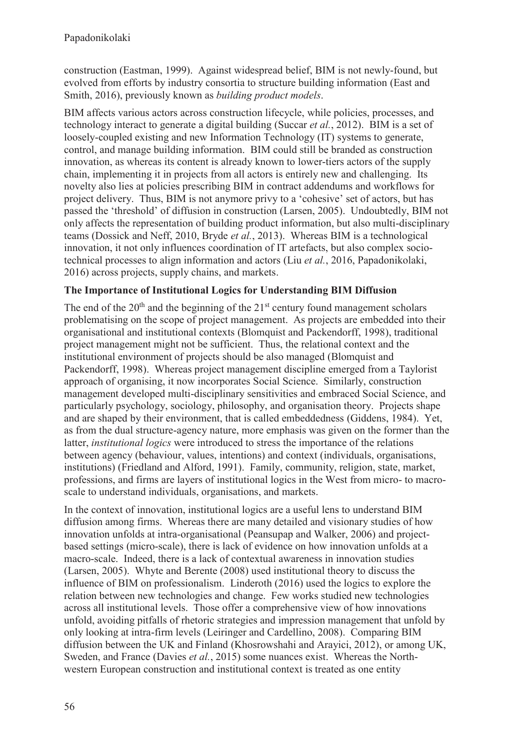construction (Eastman, 1999). Against widespread belief, BIM is not newly-found, but evolved from efforts by industry consortia to structure building information (East and Smith, 2016), previously known as *building product models*.

BIM affects various actors across construction lifecycle, while policies, processes, and technology interact to generate a digital building (Succar *et al.*, 2012). BIM is a set of loosely-coupled existing and new Information Technology (IT) systems to generate, control, and manage building information. BIM could still be branded as construction innovation, as whereas its content is already known to lower-tiers actors of the supply chain, implementing it in projects from all actors is entirely new and challenging. Its novelty also lies at policies prescribing BIM in contract addendums and workflows for project delivery. Thus, BIM is not anymore privy to a 'cohesive' set of actors, but has passed the 'threshold' of diffusion in construction (Larsen, 2005). Undoubtedly, BIM not only affects the representation of building product information, but also multi-disciplinary teams (Dossick and Neff, 2010, Bryde *et al.*, 2013). Whereas BIM is a technological innovation, it not only influences coordination of IT artefacts, but also complex sociotechnical processes to align information and actors (Liu *et al.*, 2016, Papadonikolaki, 2016) across projects, supply chains, and markets.

### **The Importance of Institutional Logics for Understanding BIM Diffusion**

The end of the  $20<sup>th</sup>$  and the beginning of the  $21<sup>st</sup>$  century found management scholars problematising on the scope of project management. As projects are embedded into their organisational and institutional contexts (Blomquist and Packendorff, 1998), traditional project management might not be sufficient. Thus, the relational context and the institutional environment of projects should be also managed (Blomquist and Packendorff, 1998). Whereas project management discipline emerged from a Taylorist approach of organising, it now incorporates Social Science. Similarly, construction management developed multi-disciplinary sensitivities and embraced Social Science, and particularly psychology, sociology, philosophy, and organisation theory. Projects shape and are shaped by their environment, that is called embeddedness (Giddens, 1984). Yet, as from the dual structure-agency nature, more emphasis was given on the former than the latter, *institutional logics* were introduced to stress the importance of the relations between agency (behaviour, values, intentions) and context (individuals, organisations, institutions) (Friedland and Alford, 1991). Family, community, religion, state, market, professions, and firms are layers of institutional logics in the West from micro- to macroscale to understand individuals, organisations, and markets.

In the context of innovation, institutional logics are a useful lens to understand BIM diffusion among firms. Whereas there are many detailed and visionary studies of how innovation unfolds at intra-organisational (Peansupap and Walker, 2006) and projectbased settings (micro-scale), there is lack of evidence on how innovation unfolds at a macro-scale. Indeed, there is a lack of contextual awareness in innovation studies (Larsen, 2005). Whyte and Berente (2008) used institutional theory to discuss the influence of BIM on professionalism. Linderoth (2016) used the logics to explore the relation between new technologies and change. Few works studied new technologies across all institutional levels. Those offer a comprehensive view of how innovations unfold, avoiding pitfalls of rhetoric strategies and impression management that unfold by only looking at intra-firm levels (Leiringer and Cardellino, 2008). Comparing BIM diffusion between the UK and Finland (Khosrowshahi and Arayici, 2012), or among UK, Sweden, and France (Davies *et al.*, 2015) some nuances exist. Whereas the Northwestern European construction and institutional context is treated as one entity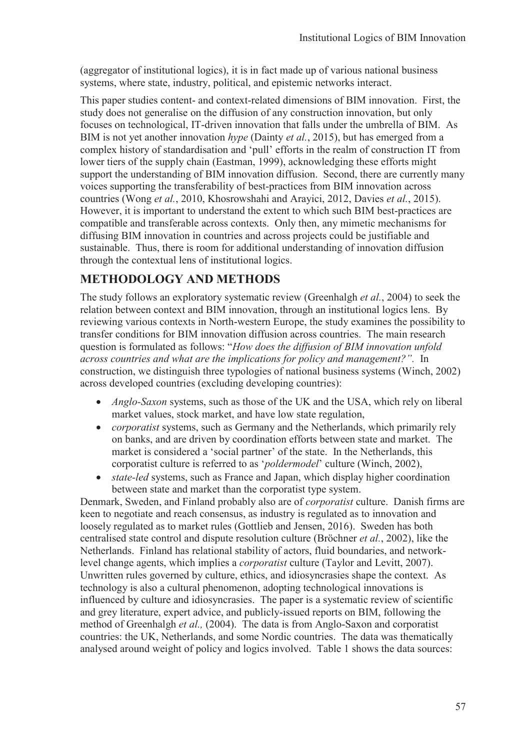(aggregator of institutional logics), it is in fact made up of various national business systems, where state, industry, political, and epistemic networks interact.

This paper studies content- and context-related dimensions of BIM innovation. First, the study does not generalise on the diffusion of any construction innovation, but only focuses on technological, IT-driven innovation that falls under the umbrella of BIM. As BIM is not yet another innovation *hype* (Dainty *et al.*, 2015), but has emerged from a complex history of standardisation and 'pull' efforts in the realm of construction IT from lower tiers of the supply chain (Eastman, 1999), acknowledging these efforts might support the understanding of BIM innovation diffusion. Second, there are currently many voices supporting the transferability of best-practices from BIM innovation across countries (Wong *et al.*, 2010, Khosrowshahi and Arayici, 2012, Davies *et al.*, 2015). However, it is important to understand the extent to which such BIM best-practices are compatible and transferable across contexts. Only then, any mimetic mechanisms for diffusing BIM innovation in countries and across projects could be justifiable and sustainable. Thus, there is room for additional understanding of innovation diffusion through the contextual lens of institutional logics.

# **METHODOLOGY AND METHODS**

The study follows an exploratory systematic review (Greenhalgh *et al.*, 2004) to seek the relation between context and BIM innovation, through an institutional logics lens. By reviewing various contexts in North-western Europe, the study examines the possibility to transfer conditions for BIM innovation diffusion across countries. The main research question is formulated as follows: "*How does the diffusion of BIM innovation unfold across countries and what are the implications for policy and management?".* In construction, we distinguish three typologies of national business systems (Winch, 2002) across developed countries (excluding developing countries):

- · *Anglo-Saxon* systems, such as those of the UK and the USA, which rely on liberal market values, stock market, and have low state regulation,
- · *corporatist* systems, such as Germany and the Netherlands, which primarily rely on banks, and are driven by coordination efforts between state and market. The market is considered a 'social partner' of the state. In the Netherlands, this corporatist culture is referred to as '*poldermodel*' culture (Winch, 2002),
- state-led systems, such as France and Japan, which display higher coordination between state and market than the corporatist type system.

Denmark, Sweden, and Finland probably also are of *corporatist* culture. Danish firms are keen to negotiate and reach consensus, as industry is regulated as to innovation and loosely regulated as to market rules (Gottlieb and Jensen, 2016). Sweden has both centralised state control and dispute resolution culture (Bröchner *et al.*, 2002), like the Netherlands. Finland has relational stability of actors, fluid boundaries, and networklevel change agents, which implies a *corporatist* culture (Taylor and Levitt, 2007). Unwritten rules governed by culture, ethics, and idiosyncrasies shape the context. As technology is also a cultural phenomenon, adopting technological innovations is influenced by culture and idiosyncrasies. The paper is a systematic review of scientific and grey literature, expert advice, and publicly-issued reports on BIM, following the method of Greenhalgh *et al.,* (2004). The data is from Anglo-Saxon and corporatist countries: the UK, Netherlands, and some Nordic countries. The data was thematically analysed around weight of policy and logics involved. Table 1 shows the data sources: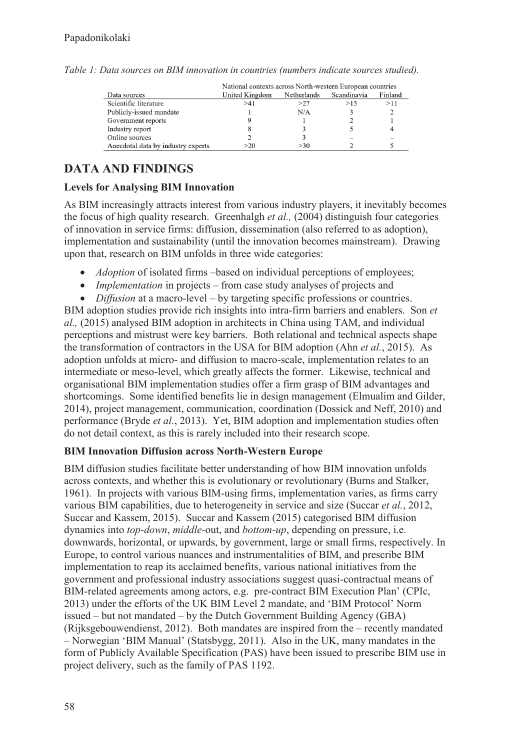|                                    | National contexts across North-western European countries |             |             |         |
|------------------------------------|-----------------------------------------------------------|-------------|-------------|---------|
| Data sources                       | United Kingdom                                            | Netherlands | Scandinavia | Finland |
| Scientific literature              | >41                                                       | >27         | >15         | >11     |
| Publicly-issued mandate            |                                                           | N/A         |             |         |
| Government reports                 |                                                           |             |             |         |
| Industry report                    |                                                           |             |             |         |
| Online sources                     |                                                           |             |             |         |
| Anecdotal data by industry experts | >20                                                       | >30         |             |         |

*Table 1: Data sources on BIM innovation in countries (numbers indicate sources studied).* 

# **DATA AND FINDINGS**

### **Levels for Analysing BIM Innovation**

As BIM increasingly attracts interest from various industry players, it inevitably becomes the focus of high quality research. Greenhalgh *et al.,* (2004) distinguish four categories of innovation in service firms: diffusion, dissemination (also referred to as adoption), implementation and sustainability (until the innovation becomes mainstream). Drawing upon that, research on BIM unfolds in three wide categories:

- *Adoption* of isolated firms –based on individual perceptions of employees;
- *Implementation* in projects from case study analyses of projects and
- · *Diffusion* at a macro-level by targeting specific professions or countries.

BIM adoption studies provide rich insights into intra-firm barriers and enablers. Son *et al.,* (2015) analysed BIM adoption in architects in China using TAM, and individual perceptions and mistrust were key barriers. Both relational and technical aspects shape the transformation of contractors in the USA for BIM adoption (Ahn *et al.*, 2015). As adoption unfolds at micro- and diffusion to macro-scale, implementation relates to an intermediate or meso-level, which greatly affects the former. Likewise, technical and organisational BIM implementation studies offer a firm grasp of BIM advantages and shortcomings. Some identified benefits lie in design management (Elmualim and Gilder, 2014), project management, communication, coordination (Dossick and Neff, 2010) and performance (Bryde *et al.*, 2013). Yet, BIM adoption and implementation studies often do not detail context, as this is rarely included into their research scope.

### **BIM Innovation Diffusion across North-Western Europe**

BIM diffusion studies facilitate better understanding of how BIM innovation unfolds across contexts, and whether this is evolutionary or revolutionary (Burns and Stalker, 1961). In projects with various BIM-using firms, implementation varies, as firms carry various BIM capabilities, due to heterogeneity in service and size (Succar *et al.*, 2012, Succar and Kassem, 2015). Succar and Kassem (2015) categorised BIM diffusion dynamics into *top-down*, *middle-*out, and *bottom-up*, depending on pressure, i.e. downwards, horizontal, or upwards, by government, large or small firms, respectively. In Europe, to control various nuances and instrumentalities of BIM, and prescribe BIM implementation to reap its acclaimed benefits, various national initiatives from the government and professional industry associations suggest quasi-contractual means of BIM-related agreements among actors, e.g. pre-contract BIM Execution Plan' (CPIc, 2013) under the efforts of the UK BIM Level 2 mandate, and 'BIM Protocol' Norm issued – but not mandated – by the Dutch Government Building Agency (GBA) (Rijksgebouwendienst, 2012). Both mandates are inspired from the – recently mandated – Norwegian 'BIM Manual' (Statsbygg, 2011). Also in the UK, many mandates in the form of Publicly Available Specification (PAS) have been issued to prescribe BIM use in project delivery, such as the family of PAS 1192.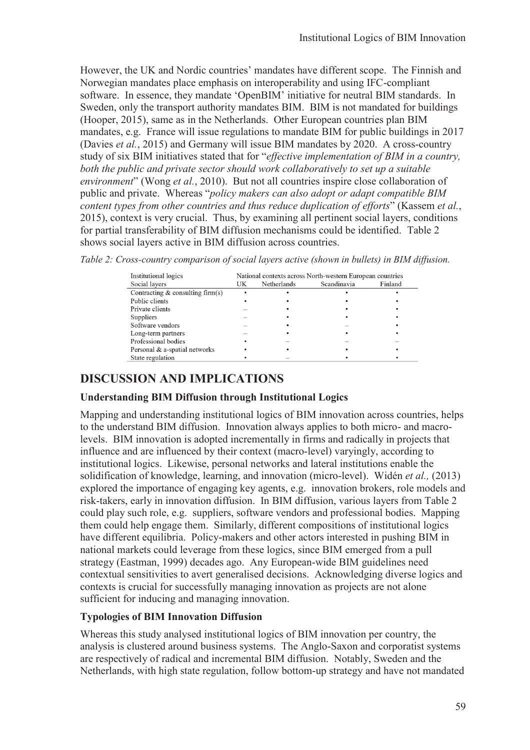However, the UK and Nordic countries' mandates have different scope. The Finnish and Norwegian mandates place emphasis on interoperability and using IFC-compliant software. In essence, they mandate 'OpenBIM' initiative for neutral BIM standards. In Sweden, only the transport authority mandates BIM. BIM is not mandated for buildings (Hooper, 2015), same as in the Netherlands. Other European countries plan BIM mandates, e.g. France will issue regulations to mandate BIM for public buildings in 2017 (Davies *et al.*, 2015) and Germany will issue BIM mandates by 2020. A cross-country study of six BIM initiatives stated that for "*effective implementation of BIM in a country, both the public and private sector should work collaboratively to set up a suitable environment*" (Wong *et al.*, 2010). But not all countries inspire close collaboration of public and private. Whereas "*policy makers can also adopt or adapt compatible BIM content types from other countries and thus reduce duplication of efforts*" (Kassem *et al.*, 2015), context is very crucial. Thus, by examining all pertinent social layers, conditions for partial transferability of BIM diffusion mechanisms could be identified. Table 2 shows social layers active in BIM diffusion across countries.

*Table 2: Cross-country comparison of social layers active (shown in bullets) in BIM diffusion.* 

| Institutional logics               | National contexts across North-western European countries |             |             |         |  |
|------------------------------------|-----------------------------------------------------------|-------------|-------------|---------|--|
| Social layers                      | UK                                                        | Netherlands | Scandinavia | Finland |  |
| Contracting $&$ consulting firm(s) |                                                           |             |             |         |  |
| Public clients                     |                                                           |             |             |         |  |
| Private clients                    |                                                           |             |             |         |  |
| Suppliers                          |                                                           |             |             |         |  |
| Software vendors                   |                                                           |             |             |         |  |
| Long-term partners                 |                                                           |             |             |         |  |
| Professional bodies                |                                                           |             |             |         |  |
| Personal & a-spatial networks      |                                                           |             |             |         |  |
| State regulation                   |                                                           |             |             |         |  |

## **DISCUSSION AND IMPLICATIONS**

### **Understanding BIM Diffusion through Institutional Logics**

Mapping and understanding institutional logics of BIM innovation across countries, helps to the understand BIM diffusion. Innovation always applies to both micro- and macrolevels. BIM innovation is adopted incrementally in firms and radically in projects that influence and are influenced by their context (macro-level) varyingly, according to institutional logics. Likewise, personal networks and lateral institutions enable the solidification of knowledge, learning, and innovation (micro-level). Widén *et al.,* (2013) explored the importance of engaging key agents, e.g. innovation brokers, role models and risk-takers, early in innovation diffusion. In BIM diffusion, various layers from Table 2 could play such role, e.g. suppliers, software vendors and professional bodies. Mapping them could help engage them. Similarly, different compositions of institutional logics have different equilibria. Policy-makers and other actors interested in pushing BIM in national markets could leverage from these logics, since BIM emerged from a pull strategy (Eastman, 1999) decades ago. Any European-wide BIM guidelines need contextual sensitivities to avert generalised decisions. Acknowledging diverse logics and contexts is crucial for successfully managing innovation as projects are not alone sufficient for inducing and managing innovation.

### **Typologies of BIM Innovation Diffusion**

Whereas this study analysed institutional logics of BIM innovation per country, the analysis is clustered around business systems. The Anglo-Saxon and corporatist systems are respectively of radical and incremental BIM diffusion. Notably, Sweden and the Netherlands, with high state regulation, follow bottom-up strategy and have not mandated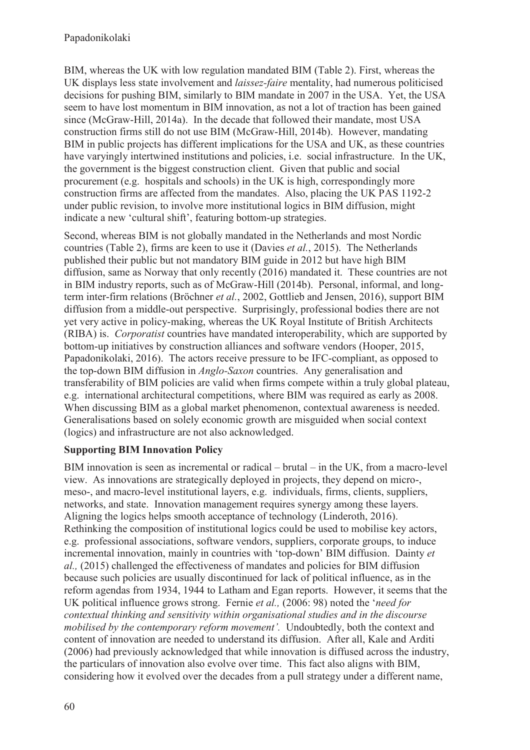BIM, whereas the UK with low regulation mandated BIM (Table 2). First, whereas the UK displays less state involvement and *laissez-faire* mentality, had numerous politicised decisions for pushing BIM, similarly to BIM mandate in 2007 in the USA. Yet, the USA seem to have lost momentum in BIM innovation, as not a lot of traction has been gained since (McGraw-Hill, 2014a). In the decade that followed their mandate, most USA construction firms still do not use BIM (McGraw-Hill, 2014b). However, mandating BIM in public projects has different implications for the USA and UK, as these countries have varyingly intertwined institutions and policies, i.e. social infrastructure. In the UK, the government is the biggest construction client. Given that public and social procurement (e.g. hospitals and schools) in the UK is high, correspondingly more construction firms are affected from the mandates. Also, placing the UK PAS 1192-2 under public revision, to involve more institutional logics in BIM diffusion, might indicate a new 'cultural shift', featuring bottom-up strategies.

Second, whereas BIM is not globally mandated in the Netherlands and most Nordic countries (Table 2), firms are keen to use it (Davies *et al.*, 2015). The Netherlands published their public but not mandatory BIM guide in 2012 but have high BIM diffusion, same as Norway that only recently (2016) mandated it. These countries are not in BIM industry reports, such as of McGraw-Hill (2014b). Personal, informal, and longterm inter-firm relations (Bröchner *et al.*, 2002, Gottlieb and Jensen, 2016), support BIM diffusion from a middle-out perspective. Surprisingly, professional bodies there are not yet very active in policy-making, whereas the UK Royal Institute of British Architects (RIBA) is. *Corporatist* countries have mandated interoperability, which are supported by bottom-up initiatives by construction alliances and software vendors (Hooper, 2015, Papadonikolaki, 2016). The actors receive pressure to be IFC-compliant, as opposed to the top-down BIM diffusion in *Anglo-Saxon* countries. Any generalisation and transferability of BIM policies are valid when firms compete within a truly global plateau, e.g. international architectural competitions, where BIM was required as early as 2008. When discussing BIM as a global market phenomenon, contextual awareness is needed. Generalisations based on solely economic growth are misguided when social context (logics) and infrastructure are not also acknowledged.

### **Supporting BIM Innovation Policy**

BIM innovation is seen as incremental or radical – brutal – in the UK, from a macro-level view. As innovations are strategically deployed in projects, they depend on micro-, meso-, and macro-level institutional layers, e.g. individuals, firms, clients, suppliers, networks, and state. Innovation management requires synergy among these layers. Aligning the logics helps smooth acceptance of technology (Linderoth, 2016). Rethinking the composition of institutional logics could be used to mobilise key actors, e.g. professional associations, software vendors, suppliers, corporate groups, to induce incremental innovation, mainly in countries with 'top-down' BIM diffusion. Dainty *et al.,* (2015) challenged the effectiveness of mandates and policies for BIM diffusion because such policies are usually discontinued for lack of political influence, as in the reform agendas from 1934, 1944 to Latham and Egan reports. However, it seems that the UK political influence grows strong. Fernie *et al.,* (2006: 98) noted the '*need for contextual thinking and sensitivity within organisational studies and in the discourse mobilised by the contemporary reform movement'.* Undoubtedly, both the context and content of innovation are needed to understand its diffusion. After all, Kale and Arditi (2006) had previously acknowledged that while innovation is diffused across the industry, the particulars of innovation also evolve over time. This fact also aligns with BIM, considering how it evolved over the decades from a pull strategy under a different name,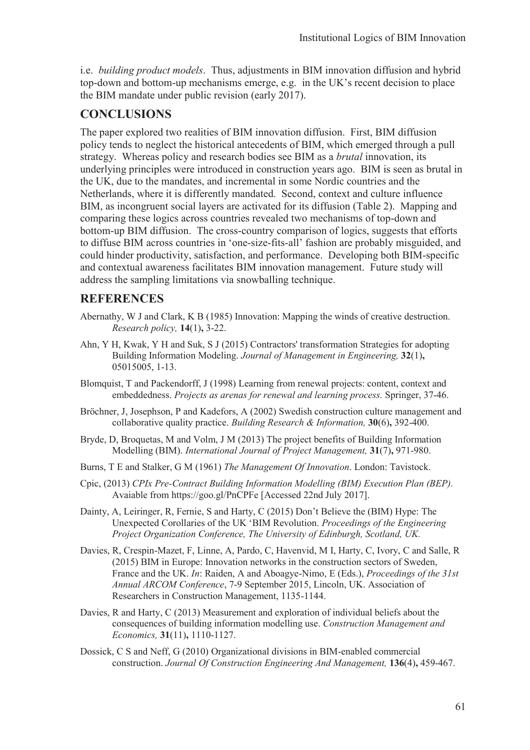i.e. *building product models*. Thus, adjustments in BIM innovation diffusion and hybrid top-down and bottom-up mechanisms emerge, e.g. in the UK's recent decision to place the BIM mandate under public revision (early 2017).

### **CONCLUSIONS**

The paper explored two realities of BIM innovation diffusion. First, BIM diffusion policy tends to neglect the historical antecedents of BIM, which emerged through a pull strategy. Whereas policy and research bodies see BIM as a *brutal* innovation, its underlying principles were introduced in construction years ago. BIM is seen as brutal in the UK, due to the mandates, and incremental in some Nordic countries and the Netherlands, where it is differently mandated. Second, context and culture influence BIM, as incongruent social layers are activated for its diffusion (Table 2). Mapping and comparing these logics across countries revealed two mechanisms of top-down and bottom-up BIM diffusion. The cross-country comparison of logics, suggests that efforts to diffuse BIM across countries in 'one-size-fits-all' fashion are probably misguided, and could hinder productivity, satisfaction, and performance. Developing both BIM-specific and contextual awareness facilitates BIM innovation management. Future study will address the sampling limitations via snowballing technique.

### **REFERENCES**

- Abernathy, W J and Clark, K B (1985) Innovation: Mapping the winds of creative destruction. *Research policy,* **14**(1)**,** 3-22.
- Ahn, Y H, Kwak, Y H and Suk, S J (2015) Contractors' transformation Strategies for adopting Building Information Modeling. *Journal of Management in Engineering,* **32**(1)**,** 05015005, 1-13.
- Blomquist, T and Packendorff, J (1998) Learning from renewal projects: content, context and embeddedness. *Projects as arenas for renewal and learning process.* Springer, 37-46.
- Bröchner, J, Josephson, P and Kadefors, A (2002) Swedish construction culture management and collaborative quality practice. *Building Research & Information,* **30**(6)**,** 392-400.
- Bryde, D, Broquetas, M and Volm, J M (2013) The project benefits of Building Information Modelling (BIM). *International Journal of Project Management,* **31**(7)**,** 971-980.
- Burns, T E and Stalker, G M (1961) *The Management Of Innovation*. London: Tavistock.
- Cpic, (2013) *CPIx Pre-Contract Building Information Modelling (BIM) Execution Plan (BEP).*  Avaiable from https://goo.gl/PnCPFe [Accessed 22nd July 2017].
- Dainty, A, Leiringer, R, Fernie, S and Harty, C (2015) Don't Believe the (BIM) Hype: The Unexpected Corollaries of the UK 'BIM Revolution. *Proceedings of the Engineering Project Organization Conference, The University of Edinburgh, Scotland, UK.*
- Davies, R, Crespin-Mazet, F, Linne, A, Pardo, C, Havenvid, M I, Harty, C, Ivory, C and Salle, R (2015) BIM in Europe: Innovation networks in the construction sectors of Sweden, France and the UK. *In*: Raiden, A and Aboagye-Nimo, E (Eds.), *Proceedings of the 31st Annual ARCOM Conference*, 7-9 September 2015, Lincoln, UK. Association of Researchers in Construction Management, 1135-1144.
- Davies, R and Harty, C (2013) Measurement and exploration of individual beliefs about the consequences of building information modelling use. *Construction Management and Economics,* **31**(11)**,** 1110-1127.
- Dossick, C S and Neff, G (2010) Organizational divisions in BIM-enabled commercial construction. *Journal Of Construction Engineering And Management,* **136**(4)**,** 459-467.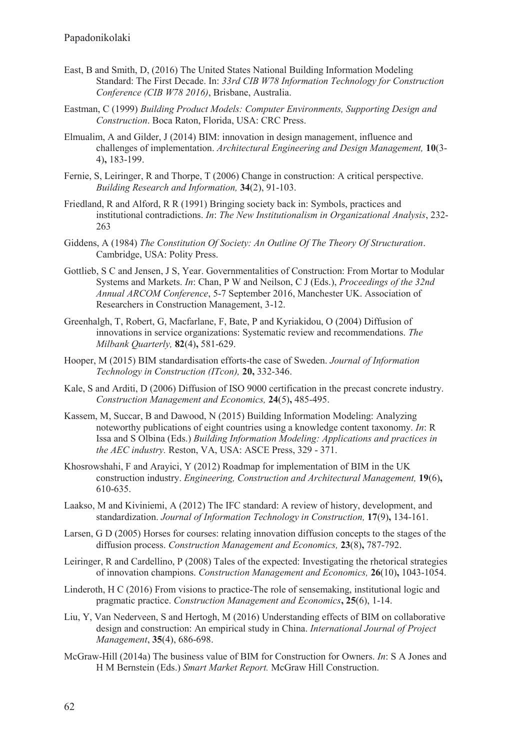- East, B and Smith, D, (2016) The United States National Building Information Modeling Standard: The First Decade. In: *33rd CIB W78 Information Technology for Construction Conference (CIB W78 2016)*, Brisbane, Australia.
- Eastman, C (1999) *Building Product Models: Computer Environments, Supporting Design and Construction*. Boca Raton, Florida, USA: CRC Press.
- Elmualim, A and Gilder, J (2014) BIM: innovation in design management, influence and challenges of implementation. *Architectural Engineering and Design Management,* **10**(3- 4)**,** 183-199.
- Fernie, S, Leiringer, R and Thorpe, T (2006) Change in construction: A critical perspective. *Building Research and Information,* **34**(2), 91-103.
- Friedland, R and Alford, R R (1991) Bringing society back in: Symbols, practices and institutional contradictions. *In*: *The New Institutionalism in Organizational Analysis*, 232- 263
- Giddens, A (1984) *The Constitution Of Society: An Outline Of The Theory Of Structuration*. Cambridge, USA: Polity Press.
- Gottlieb, S C and Jensen, J S, Year. Governmentalities of Construction: From Mortar to Modular Systems and Markets. *In*: Chan, P W and Neilson, C J (Eds.), *Proceedings of the 32nd Annual ARCOM Conference*, 5-7 September 2016, Manchester UK. Association of Researchers in Construction Management, 3-12.
- Greenhalgh, T, Robert, G, Macfarlane, F, Bate, P and Kyriakidou, O (2004) Diffusion of innovations in service organizations: Systematic review and recommendations. *The Milbank Quarterly,* **82**(4)**,** 581-629.
- Hooper, M (2015) BIM standardisation efforts-the case of Sweden. *Journal of Information Technology in Construction (ITcon),* **20,** 332-346.
- Kale, S and Arditi, D (2006) Diffusion of ISO 9000 certification in the precast concrete industry. *Construction Management and Economics,* **24**(5)**,** 485-495.
- Kassem, M, Succar, B and Dawood, N (2015) Building Information Modeling: Analyzing noteworthy publications of eight countries using a knowledge content taxonomy. *In*: R Issa and S Olbina (Eds.) *Building Information Modeling: Applications and practices in the AEC industry.* Reston, VA, USA: ASCE Press, 329 - 371.
- Khosrowshahi, F and Arayici, Y (2012) Roadmap for implementation of BIM in the UK construction industry. *Engineering, Construction and Architectural Management,* **19**(6)**,** 610-635.
- Laakso, M and Kiviniemi, A (2012) The IFC standard: A review of history, development, and standardization. *Journal of Information Technology in Construction,* **17**(9)**,** 134-161.
- Larsen, G D (2005) Horses for courses: relating innovation diffusion concepts to the stages of the diffusion process. *Construction Management and Economics,* **23**(8)**,** 787-792.
- Leiringer, R and Cardellino, P (2008) Tales of the expected: Investigating the rhetorical strategies of innovation champions. *Construction Management and Economics,* **26**(10)**,** 1043-1054.
- Linderoth, H C (2016) From visions to practice-The role of sensemaking, institutional logic and pragmatic practice. *Construction Management and Economics***, 25**(6), 1-14.
- Liu, Y, Van Nederveen, S and Hertogh, M (2016) Understanding effects of BIM on collaborative design and construction: An empirical study in China. *International Journal of Project Management*, **35**(4), 686-698.
- McGraw-Hill (2014a) The business value of BIM for Construction for Owners. *In*: S A Jones and H M Bernstein (Eds.) *Smart Market Report.* McGraw Hill Construction.